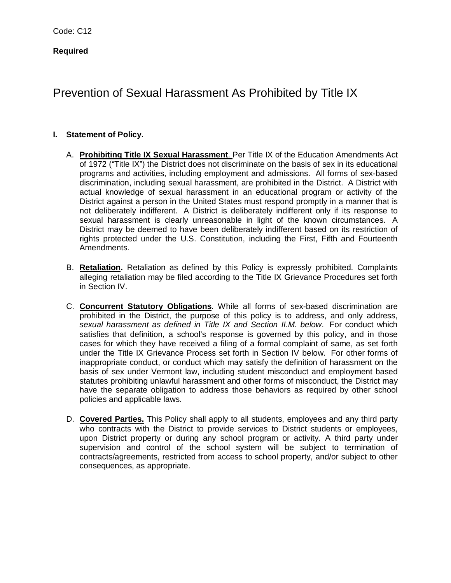# **Required**

# Prevention of Sexual Harassment As Prohibited by Title IX

## **I. Statement of Policy.**

- A. **Prohibiting Title IX Sexual Harassment**. Per Title IX of the Education Amendments Act of 1972 ("Title IX") the District does not discriminate on the basis of sex in its educational programs and activities, including employment and admissions. All forms of sex-based discrimination, including sexual harassment, are prohibited in the District. A District with actual knowledge of sexual harassment in an educational program or activity of the District against a person in the United States must respond promptly in a manner that is not deliberately indifferent. A District is deliberately indifferent only if its response to sexual harassment is clearly unreasonable in light of the known circumstances. A District may be deemed to have been deliberately indifferent based on its restriction of rights protected under the U.S. Constitution, including the First, Fifth and Fourteenth Amendments.
- B. **Retaliation.** Retaliation as defined by this Policy is expressly prohibited. Complaints alleging retaliation may be filed according to the Title IX Grievance Procedures set forth in Section IV.
- C. **Concurrent Statutory Obligations**. While all forms of sex-based discrimination are prohibited in the District, the purpose of this policy is to address, and only address, *sexual harassment as defined in Title IX and Section II.M. below*. For conduct which satisfies that definition, a school's response is governed by this policy, and in those cases for which they have received a filing of a formal complaint of same, as set forth under the Title IX Grievance Process set forth in Section IV below. For other forms of inappropriate conduct, or conduct which may satisfy the definition of harassment on the basis of sex under Vermont law, including student misconduct and employment based statutes prohibiting unlawful harassment and other forms of misconduct, the District may have the separate obligation to address those behaviors as required by other school policies and applicable laws.
- D. **Covered Parties.** This Policy shall apply to all students, employees and any third party who contracts with the District to provide services to District students or employees, upon District property or during any school program or activity. A third party under supervision and control of the school system will be subject to termination of contracts/agreements, restricted from access to school property, and/or subject to other consequences, as appropriate.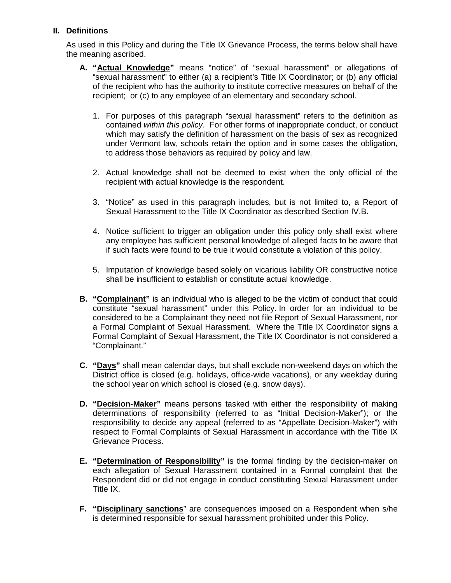## **II. Definitions**

As used in this Policy and during the Title IX Grievance Process, the terms below shall have the meaning ascribed.

- **A. "Actual Knowledge"** means "notice" of "sexual harassment" or allegations of "sexual harassment" to either (a) a recipient's Title IX Coordinator; or (b) any official of the recipient who has the authority to institute corrective measures on behalf of the recipient; or (c) to any employee of an elementary and secondary school.
	- 1. For purposes of this paragraph "sexual harassment" refers to the definition as contained *within this policy*. For other forms of inappropriate conduct, or conduct which may satisfy the definition of harassment on the basis of sex as recognized under Vermont law, schools retain the option and in some cases the obligation, to address those behaviors as required by policy and law.
	- 2. Actual knowledge shall not be deemed to exist when the only official of the recipient with actual knowledge is the respondent.
	- 3. "Notice" as used in this paragraph includes, but is not limited to, a Report of Sexual Harassment to the Title IX Coordinator as described Section IV.B.
	- 4. Notice sufficient to trigger an obligation under this policy only shall exist where any employee has sufficient personal knowledge of alleged facts to be aware that if such facts were found to be true it would constitute a violation of this policy.
	- 5. Imputation of knowledge based solely on vicarious liability OR constructive notice shall be insufficient to establish or constitute actual knowledge.
- **B. "Complainant"** is an individual who is alleged to be the victim of conduct that could constitute "sexual harassment" under this Policy. In order for an individual to be considered to be a Complainant they need not file Report of Sexual Harassment, nor a Formal Complaint of Sexual Harassment. Where the Title IX Coordinator signs a Formal Complaint of Sexual Harassment, the Title IX Coordinator is not considered a "Complainant."
- **C. "Days"** shall mean calendar days, but shall exclude non-weekend days on which the District office is closed (e.g. holidays, office-wide vacations), or any weekday during the school year on which school is closed (e.g. snow days).
- **D. "Decision-Maker"** means persons tasked with either the responsibility of making determinations of responsibility (referred to as "Initial Decision-Maker"); or the responsibility to decide any appeal (referred to as "Appellate Decision-Maker") with respect to Formal Complaints of Sexual Harassment in accordance with the Title IX Grievance Process.
- **E.** "Determination of Responsibility" is the formal finding by the decision-maker on each allegation of Sexual Harassment contained in a Formal complaint that the Respondent did or did not engage in conduct constituting Sexual Harassment under Title IX.
- **F. "Disciplinary sanctions**" are consequences imposed on a Respondent when s/he is determined responsible for sexual harassment prohibited under this Policy.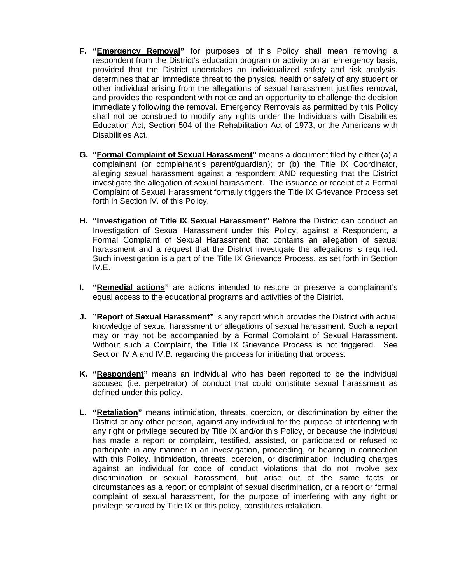- **F. "Emergency Removal"** for purposes of this Policy shall mean removing a respondent from the District's education program or activity on an emergency basis, provided that the District undertakes an individualized safety and risk analysis, determines that an immediate threat to the physical health or safety of any student or other individual arising from the allegations of sexual harassment justifies removal, and provides the respondent with notice and an opportunity to challenge the decision immediately following the removal. Emergency Removals as permitted by this Policy shall not be construed to modify any rights under the Individuals with Disabilities Education Act, Section 504 of the Rehabilitation Act of 1973, or the Americans with Disabilities Act.
- **G. "Formal Complaint of Sexual Harassment"** means a document filed by either (a) a complainant (or complainant's parent/guardian); or (b) the Title IX Coordinator, alleging sexual harassment against a respondent AND requesting that the District investigate the allegation of sexual harassment. The issuance or receipt of a Formal Complaint of Sexual Harassment formally triggers the Title IX Grievance Process set forth in Section IV. of this Policy.
- **H. "Investigation of Title IX Sexual Harassment"** Before the District can conduct an Investigation of Sexual Harassment under this Policy, against a Respondent, a Formal Complaint of Sexual Harassment that contains an allegation of sexual harassment and a request that the District investigate the allegations is required. Such investigation is a part of the Title IX Grievance Process, as set forth in Section IV.E.
- **I. "Remedial actions"** are actions intended to restore or preserve a complainant's equal access to the educational programs and activities of the District.
- **J. "Report of Sexual Harassment"** is any report which provides the District with actual knowledge of sexual harassment or allegations of sexual harassment. Such a report may or may not be accompanied by a Formal Complaint of Sexual Harassment. Without such a Complaint, the Title IX Grievance Process is not triggered. See Section IV.A and IV.B. regarding the process for initiating that process.
- **K. "Respondent"** means an individual who has been reported to be the individual accused (i.e. perpetrator) of conduct that could constitute sexual harassment as defined under this policy.
- **L. "Retaliation"** means intimidation, threats, coercion, or discrimination by either the District or any other person, against any individual for the purpose of interfering with any right or privilege secured by Title IX and/or this Policy, or because the individual has made a report or complaint, testified, assisted, or participated or refused to participate in any manner in an investigation, proceeding, or hearing in connection with this Policy. Intimidation, threats, coercion, or discrimination, including charges against an individual for code of conduct violations that do not involve sex discrimination or sexual harassment, but arise out of the same facts or circumstances as a report or complaint of sexual discrimination, or a report or formal complaint of sexual harassment, for the purpose of interfering with any right or privilege secured by Title IX or this policy, constitutes retaliation.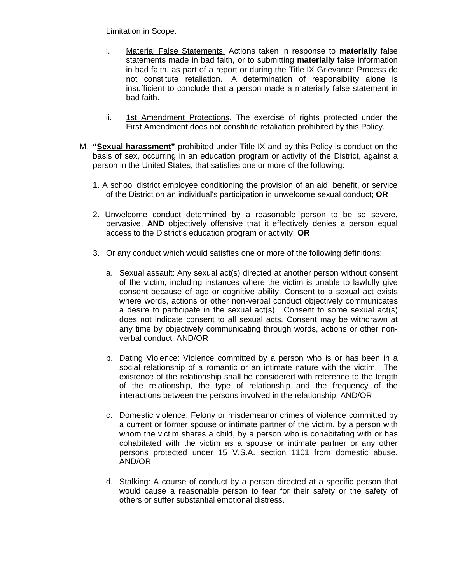## Limitation in Scope.

- i. Material False Statements. Actions taken in response to **materially** false statements made in bad faith, or to submitting **materially** false information in bad faith, as part of a report or during the Title IX Grievance Process do not constitute retaliation. A determination of responsibility alone is insufficient to conclude that a person made a materially false statement in bad faith.
- ii. 1st Amendment Protections. The exercise of rights protected under the First Amendment does not constitute retaliation prohibited by this Policy.
- M. **"Sexual harassment"** prohibited under Title IX and by this Policy is conduct on the basis of sex, occurring in an education program or activity of the District, against a person in the United States, that satisfies one or more of the following:
	- 1. A school district employee conditioning the provision of an aid, benefit, or service of the District on an individual's participation in unwelcome sexual conduct; **OR**
	- 2. Unwelcome conduct determined by a reasonable person to be so severe, pervasive, **AND** objectively offensive that it effectively denies a person equal access to the District's education program or activity; **OR**
	- 3. Or any conduct which would satisfies one or more of the following definitions:
		- a. Sexual assault: Any sexual act(s) directed at another person without consent of the victim, including instances where the victim is unable to lawfully give consent because of age or cognitive ability. Consent to a sexual act exists where words, actions or other non-verbal conduct objectively communicates a desire to participate in the sexual act(s). Consent to some sexual act(s) does not indicate consent to all sexual acts. Consent may be withdrawn at any time by objectively communicating through words, actions or other nonverbal conduct AND/OR
		- b. Dating Violence: Violence committed by a person who is or has been in a social relationship of a romantic or an intimate nature with the victim. The existence of the relationship shall be considered with reference to the length of the relationship, the type of relationship and the frequency of the interactions between the persons involved in the relationship. AND/OR
		- c. Domestic violence: Felony or misdemeanor crimes of violence committed by a current or former spouse or intimate partner of the victim, by a person with whom the victim shares a child, by a person who is cohabitating with or has cohabitated with the victim as a spouse or intimate partner or any other persons protected under 15 V.S.A. section 1101 from domestic abuse. AND/OR
		- d. Stalking: A course of conduct by a person directed at a specific person that would cause a reasonable person to fear for their safety or the safety of others or suffer substantial emotional distress.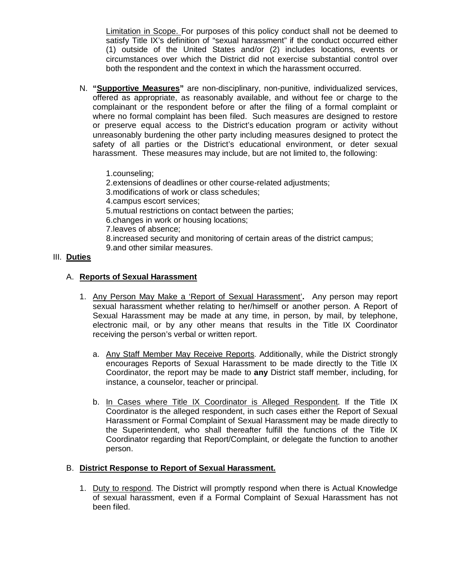Limitation in Scope. For purposes of this policy conduct shall not be deemed to satisfy Title IX's definition of "sexual harassment" if the conduct occurred either (1) outside of the United States and/or (2) includes locations, events or circumstances over which the District did not exercise substantial control over both the respondent and the context in which the harassment occurred.

- N. **"Supportive Measures"** are non-disciplinary, non-punitive, individualized services, offered as appropriate, as reasonably available, and without fee or charge to the complainant or the respondent before or after the filing of a formal complaint or where no formal complaint has been filed. Such measures are designed to restore or preserve equal access to the District's education program or activity without unreasonably burdening the other party including measures designed to protect the safety of all parties or the District's educational environment, or deter sexual harassment. These measures may include, but are not limited to, the following:
	- 1.counseling;
	- 2.extensions of deadlines or other course-related adjustments;
	- 3.modifications of work or class schedules;
	- 4.campus escort services;
	- 5.mutual restrictions on contact between the parties;
	- 6.changes in work or housing locations;
	- 7.leaves of absence;
	- 8.increased security and monitoring of certain areas of the district campus;
	- 9.and other similar measures.

#### III. **Duties**

## A. **Reports of Sexual Harassment**

- 1. Any Person May Make a 'Report of Sexual Harassment'**.** Any person may report sexual harassment whether relating to her/himself or another person. A Report of Sexual Harassment may be made at any time, in person, by mail, by telephone, electronic mail, or by any other means that results in the Title IX Coordinator receiving the person's verbal or written report.
	- a. Any Staff Member May Receive Reports. Additionally, while the District strongly encourages Reports of Sexual Harassment to be made directly to the Title IX Coordinator, the report may be made to **any** District staff member, including, for instance, a counselor, teacher or principal.
	- b. In Cases where Title IX Coordinator is Alleged Respondent. If the Title IX Coordinator is the alleged respondent, in such cases either the Report of Sexual Harassment or Formal Complaint of Sexual Harassment may be made directly to the Superintendent, who shall thereafter fulfill the functions of the Title IX Coordinator regarding that Report/Complaint, or delegate the function to another person.

#### B. **District Response to Report of Sexual Harassment.**

1. Duty to respond. The District will promptly respond when there is Actual Knowledge of sexual harassment, even if a Formal Complaint of Sexual Harassment has not been filed.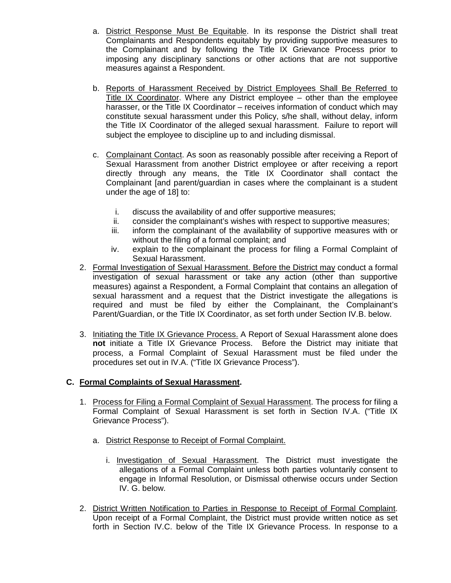- a. District Response Must Be Equitable. In its response the District shall treat Complainants and Respondents equitably by providing supportive measures to the Complainant and by following the Title IX Grievance Process prior to imposing any disciplinary sanctions or other actions that are not supportive measures against a Respondent.
- b. Reports of Harassment Received by District Employees Shall Be Referred to Title IX Coordinator. Where any District employee – other than the employee harasser, or the Title IX Coordinator – receives information of conduct which may constitute sexual harassment under this Policy, s/he shall, without delay, inform the Title IX Coordinator of the alleged sexual harassment. Failure to report will subject the employee to discipline up to and including dismissal.
- c. Complainant Contact. As soon as reasonably possible after receiving a Report of Sexual Harassment from another District employee or after receiving a report directly through any means, the Title IX Coordinator shall contact the Complainant [and parent/guardian in cases where the complainant is a student under the age of 18] to:
	- i. discuss the availability of and offer supportive measures;
	- ii. consider the complainant's wishes with respect to supportive measures;
	- iii. inform the complainant of the availability of supportive measures with or without the filing of a formal complaint; and
	- iv. explain to the complainant the process for filing a Formal Complaint of Sexual Harassment.
- 2. Formal Investigation of Sexual Harassment. Before the District may conduct a formal investigation of sexual harassment or take any action (other than supportive measures) against a Respondent, a Formal Complaint that contains an allegation of sexual harassment and a request that the District investigate the allegations is required and must be filed by either the Complainant, the Complainant's Parent/Guardian, or the Title IX Coordinator, as set forth under Section IV.B. below.
- 3. Initiating the Title IX Grievance Process. A Report of Sexual Harassment alone does **not** initiate a Title IX Grievance Process. Before the District may initiate that process, a Formal Complaint of Sexual Harassment must be filed under the procedures set out in IV.A. ("Title IX Grievance Process").

# **C. Formal Complaints of Sexual Harassment.**

- 1. Process for Filing a Formal Complaint of Sexual Harassment. The process for filing a Formal Complaint of Sexual Harassment is set forth in Section IV.A. ("Title IX Grievance Process").
	- a. District Response to Receipt of Formal Complaint.
		- i. Investigation of Sexual Harassment. The District must investigate the allegations of a Formal Complaint unless both parties voluntarily consent to engage in Informal Resolution, or Dismissal otherwise occurs under Section IV. G. below.
- 2. District Written Notification to Parties in Response to Receipt of Formal Complaint. Upon receipt of a Formal Complaint, the District must provide written notice as set forth in Section IV.C. below of the Title IX Grievance Process. In response to a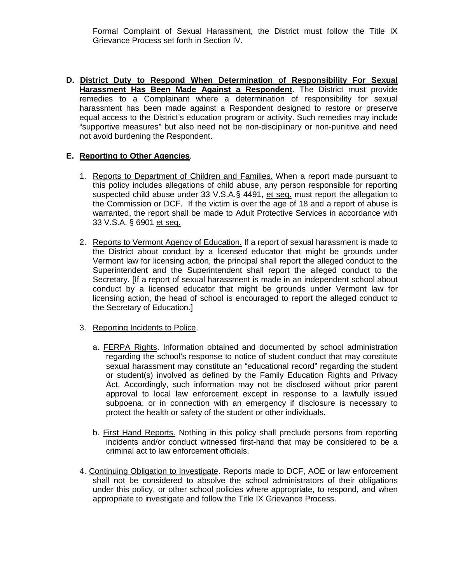Formal Complaint of Sexual Harassment, the District must follow the Title IX Grievance Process set forth in Section IV.

**D. District Duty to Respond When Determination of Responsibility For Sexual Harassment Has Been Made Against a Respondent**. The District must provide remedies to a Complainant where a determination of responsibility for sexual harassment has been made against a Respondent designed to restore or preserve equal access to the District's education program or activity. Such remedies may include "supportive measures" but also need not be non-disciplinary or non-punitive and need not avoid burdening the Respondent.

## **E. Reporting to Other Agencies**.

- 1. Reports to Department of Children and Families. When a report made pursuant to this policy includes allegations of child abuse, any person responsible for reporting suspected child abuse under 33 V.S.A.§ 4491, et seq. must report the allegation to the Commission or DCF. If the victim is over the age of 18 and a report of abuse is warranted, the report shall be made to Adult Protective Services in accordance with 33 V.S.A. § 6901 et seq.
- 2. Reports to Vermont Agency of Education. If a report of sexual harassment is made to the District about conduct by a licensed educator that might be grounds under Vermont law for licensing action, the principal shall report the alleged conduct to the Superintendent and the Superintendent shall report the alleged conduct to the Secretary. [If a report of sexual harassment is made in an independent school about conduct by a licensed educator that might be grounds under Vermont law for licensing action, the head of school is encouraged to report the alleged conduct to the Secretary of Education.]
- 3. Reporting Incidents to Police.
	- a. FERPA Rights. Information obtained and documented by school administration regarding the school's response to notice of student conduct that may constitute sexual harassment may constitute an "educational record" regarding the student or student(s) involved as defined by the Family Education Rights and Privacy Act. Accordingly, such information may not be disclosed without prior parent approval to local law enforcement except in response to a lawfully issued subpoena, or in connection with an emergency if disclosure is necessary to protect the health or safety of the student or other individuals.
	- b. First Hand Reports. Nothing in this policy shall preclude persons from reporting incidents and/or conduct witnessed first-hand that may be considered to be a criminal act to law enforcement officials.
- 4. Continuing Obligation to Investigate. Reports made to DCF, AOE or law enforcement shall not be considered to absolve the school administrators of their obligations under this policy, or other school policies where appropriate, to respond, and when appropriate to investigate and follow the Title IX Grievance Process.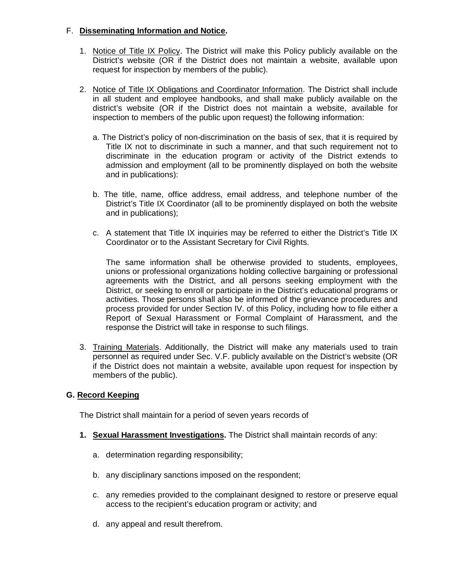## F. **Disseminating Information and Notice.**

- 1. Notice of Title IX Policy. The District will make this Policy publicly available on the District's website (OR if the District does not maintain a website, available upon request for inspection by members of the public).
- 2. Notice of Title IX Obligations and Coordinator Information. The District shall include in all student and employee handbooks, and shall make publicly available on the district's website (OR if the District does not maintain a website, available for inspection to members of the public upon request) the following information:
	- a. The District's policy of non-discrimination on the basis of sex, that it is required by Title IX not to discriminate in such a manner, and that such requirement not to discriminate in the education program or activity of the District extends to admission and employment (all to be prominently displayed on both the website and in publications):
	- b. The title, name, office address, email address, and telephone number of the District's Title IX Coordinator (all to be prominently displayed on both the website and in publications);
	- c. A statement that Title IX inquiries may be referred to either the District's Title IX Coordinator or to the Assistant Secretary for Civil Rights.

The same information shall be otherwise provided to students, employees, unions or professional organizations holding collective bargaining or professional agreements with the District, and all persons seeking employment with the District, or seeking to enroll or participate in the District's educational programs or activities. Those persons shall also be informed of the grievance procedures and process provided for under Section IV. of this Policy, including how to file either a Report of Sexual Harassment or Formal Complaint of Harassment, and the response the District will take in response to such filings.

3. Training Materials. Additionally, the District will make any materials used to train personnel as required under Sec. V.F. publicly available on the District's website (OR if the District does not maintain a website, available upon request for inspection by members of the public).

#### **G. Record Keeping**

The District shall maintain for a period of seven years records of

- **1. Sexual Harassment Investigations.** The District shall maintain records of any:
	- a. determination regarding responsibility;
	- b. any disciplinary sanctions imposed on the respondent;
	- c. any remedies provided to the complainant designed to restore or preserve equal access to the recipient's education program or activity; and
	- d. any appeal and result therefrom.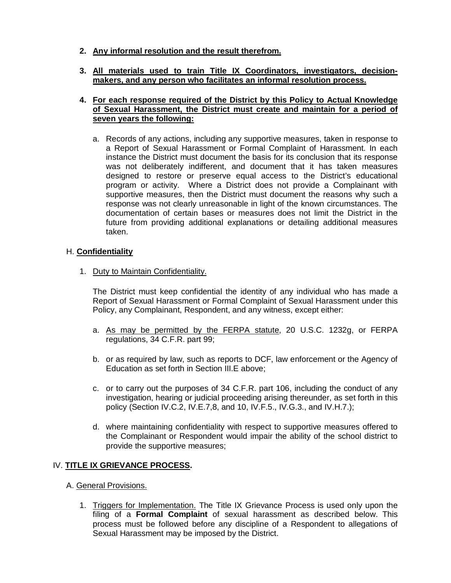- **2. Any informal resolution and the result therefrom.**
- **3. All materials used to train Title IX Coordinators, investigators, decisionmakers, and any person who facilitates an informal resolution process.**

#### **4. For each response required of the District by this Policy to Actual Knowledge of Sexual Harassment, the District must create and maintain for a period of seven years the following:**

a. Records of any actions, including any supportive measures, taken in response to a Report of Sexual Harassment or Formal Complaint of Harassment. In each instance the District must document the basis for its conclusion that its response was not deliberately indifferent, and document that it has taken measures designed to restore or preserve equal access to the District's educational program or activity. Where a District does not provide a Complainant with supportive measures, then the District must document the reasons why such a response was not clearly unreasonable in light of the known circumstances. The documentation of certain bases or measures does not limit the District in the future from providing additional explanations or detailing additional measures taken.

## H. **Confidentiality**

1. Duty to Maintain Confidentiality.

The District must keep confidential the identity of any individual who has made a Report of Sexual Harassment or Formal Complaint of Sexual Harassment under this Policy, any Complainant, Respondent, and any witness, except either:

- a. As may be permitted by the FERPA statute, 20 U.S.C. 1232g, or FERPA regulations, 34 C.F.R. part 99;
- b. or as required by law, such as reports to DCF, law enforcement or the Agency of Education as set forth in Section III.E above;
- c. or to carry out the purposes of 34 C.F.R. part 106, including the conduct of any investigation, hearing or judicial proceeding arising thereunder, as set forth in this policy (Section IV.C.2, IV.E.7,8, and 10, IV.F.5., IV.G.3., and IV.H.7.);
- d. where maintaining confidentiality with respect to supportive measures offered to the Complainant or Respondent would impair the ability of the school district to provide the supportive measures;

#### IV. **TITLE IX GRIEVANCE PROCESS.**

- A. General Provisions.
	- 1. Triggers for Implementation. The Title IX Grievance Process is used only upon the filing of a **Formal Complaint** of sexual harassment as described below. This process must be followed before any discipline of a Respondent to allegations of Sexual Harassment may be imposed by the District.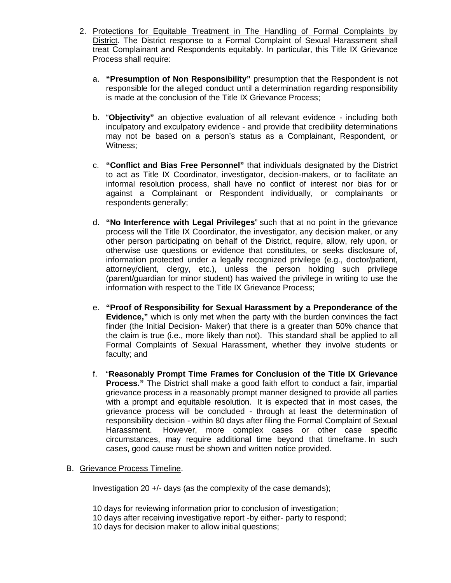- 2. Protections for Equitable Treatment in The Handling of Formal Complaints by District. The District response to a Formal Complaint of Sexual Harassment shall treat Complainant and Respondents equitably. In particular, this Title IX Grievance Process shall require:
	- a. **"Presumption of Non Responsibility"** presumption that the Respondent is not responsible for the alleged conduct until a determination regarding responsibility is made at the conclusion of the Title IX Grievance Process;
	- b. "**Objectivity"** an objective evaluation of all relevant evidence including both inculpatory and exculpatory evidence - and provide that credibility determinations may not be based on a person's status as a Complainant, Respondent, or Witness;
	- c. **"Conflict and Bias Free Personnel"** that individuals designated by the District to act as Title IX Coordinator, investigator, decision-makers, or to facilitate an informal resolution process, shall have no conflict of interest nor bias for or against a Complainant or Respondent individually, or complainants or respondents generally;
	- d. **"No Interference with Legal Privileges**" such that at no point in the grievance process will the Title IX Coordinator, the investigator, any decision maker, or any other person participating on behalf of the District, require, allow, rely upon, or otherwise use questions or evidence that constitutes, or seeks disclosure of, information protected under a legally recognized privilege (e.g., doctor/patient, attorney/client, clergy, etc.), unless the person holding such privilege (parent/guardian for minor student) has waived the privilege in writing to use the information with respect to the Title IX Grievance Process;
	- e. **"Proof of Responsibility for Sexual Harassment by a Preponderance of the Evidence,"** which is only met when the party with the burden convinces the fact finder (the Initial Decision- Maker) that there is a greater than 50% chance that the claim is true (i.e., more likely than not). This standard shall be applied to all Formal Complaints of Sexual Harassment, whether they involve students or faculty; and
	- f. "**Reasonably Prompt Time Frames for Conclusion of the Title IX Grievance Process."** The District shall make a good faith effort to conduct a fair, impartial grievance process in a reasonably prompt manner designed to provide all parties with a prompt and equitable resolution. It is expected that in most cases, the grievance process will be concluded - through at least the determination of responsibility decision - within 80 days after filing the Formal Complaint of Sexual Harassment. However, more complex cases or other case specific circumstances, may require additional time beyond that timeframe. In such cases, good cause must be shown and written notice provided.
- B. Grievance Process Timeline.

Investigation 20 +/- days (as the complexity of the case demands);

10 days for reviewing information prior to conclusion of investigation; 10 days after receiving investigative report -by either- party to respond; 10 days for decision maker to allow initial questions;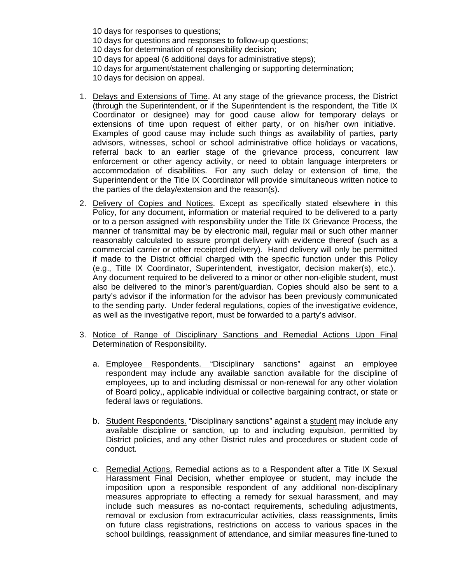10 days for responses to questions; 10 days for questions and responses to follow-up questions; 10 days for determination of responsibility decision; 10 days for appeal (6 additional days for administrative steps); 10 days for argument/statement challenging or supporting determination; 10 days for decision on appeal.

- 1. Delays and Extensions of Time. At any stage of the grievance process, the District (through the Superintendent, or if the Superintendent is the respondent, the Title IX Coordinator or designee) may for good cause allow for temporary delays or extensions of time upon request of either party, or on his/her own initiative. Examples of good cause may include such things as availability of parties, party advisors, witnesses, school or school administrative office holidays or vacations, referral back to an earlier stage of the grievance process, concurrent law enforcement or other agency activity, or need to obtain language interpreters or accommodation of disabilities. For any such delay or extension of time, the Superintendent or the Title IX Coordinator will provide simultaneous written notice to the parties of the delay/extension and the reason(s).
- 2. Delivery of Copies and Notices. Except as specifically stated elsewhere in this Policy, for any document, information or material required to be delivered to a party or to a person assigned with responsibility under the Title IX Grievance Process, the manner of transmittal may be by electronic mail, regular mail or such other manner reasonably calculated to assure prompt delivery with evidence thereof (such as a commercial carrier or other receipted delivery). Hand delivery will only be permitted if made to the District official charged with the specific function under this Policy (e.g., Title IX Coordinator, Superintendent, investigator, decision maker(s), etc.). Any document required to be delivered to a minor or other non-eligible student, must also be delivered to the minor's parent/guardian. Copies should also be sent to a party's advisor if the information for the advisor has been previously communicated to the sending party. Under federal regulations, copies of the investigative evidence, as well as the investigative report, must be forwarded to a party's advisor.
- 3. Notice of Range of Disciplinary Sanctions and Remedial Actions Upon Final Determination of Responsibility.
	- a. Employee Respondents. "Disciplinary sanctions" against an employee respondent may include any available sanction available for the discipline of employees, up to and including dismissal or non-renewal for any other violation of Board policy,, applicable individual or collective bargaining contract, or state or federal laws or regulations.
	- b. Student Respondents. "Disciplinary sanctions" against a student may include any available discipline or sanction, up to and including expulsion, permitted by District policies, and any other District rules and procedures or student code of conduct.
	- c. Remedial Actions. Remedial actions as to a Respondent after a Title IX Sexual Harassment Final Decision, whether employee or student, may include the imposition upon a responsible respondent of any additional non-disciplinary measures appropriate to effecting a remedy for sexual harassment, and may include such measures as no-contact requirements, scheduling adjustments, removal or exclusion from extracurricular activities, class reassignments, limits on future class registrations, restrictions on access to various spaces in the school buildings, reassignment of attendance, and similar measures fine-tuned to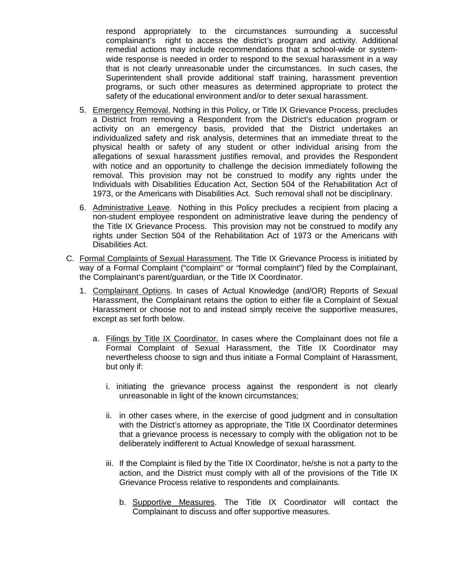respond appropriately to the circumstances surrounding a successful complainant's right to access the district's program and activity. Additional remedial actions may include recommendations that a school-wide or systemwide response is needed in order to respond to the sexual harassment in a way that is not clearly unreasonable under the circumstances. In such cases, the Superintendent shall provide additional staff training, harassment prevention programs, or such other measures as determined appropriate to protect the safety of the educational environment and/or to deter sexual harassment.

- 5. Emergency Removal. Nothing in this Policy, or Title IX Grievance Process, precludes a District from removing a Respondent from the District's education program or activity on an emergency basis, provided that the District undertakes an individualized safety and risk analysis, determines that an immediate threat to the physical health or safety of any student or other individual arising from the allegations of sexual harassment justifies removal, and provides the Respondent with notice and an opportunity to challenge the decision immediately following the removal. This provision may not be construed to modify any rights under the Individuals with Disabilities Education Act, Section 504 of the Rehabilitation Act of 1973, or the Americans with Disabilities Act. Such removal shall not be disciplinary.
- 6. Administrative Leave. Nothing in this Policy precludes a recipient from placing a non-student employee respondent on administrative leave during the pendency of the Title IX Grievance Process. This provision may not be construed to modify any rights under Section 504 of the Rehabilitation Act of 1973 or the Americans with Disabilities Act.
- C. Formal Complaints of Sexual Harassment. The Title IX Grievance Process is initiated by way of a Formal Complaint ("complaint" or "formal complaint") filed by the Complainant, the Complainant's parent/guardian, or the Title IX Coordinator.
	- 1. Complainant Options. In cases of Actual Knowledge (and/OR) Reports of Sexual Harassment, the Complainant retains the option to either file a Complaint of Sexual Harassment or choose not to and instead simply receive the supportive measures, except as set forth below.
		- a. Filings by Title IX Coordinator. In cases where the Complainant does not file a Formal Complaint of Sexual Harassment, the Title IX Coordinator may nevertheless choose to sign and thus initiate a Formal Complaint of Harassment, but only if:
			- i. initiating the grievance process against the respondent is not clearly unreasonable in light of the known circumstances;
			- ii. in other cases where, in the exercise of good judgment and in consultation with the District's attorney as appropriate, the Title IX Coordinator determines that a grievance process is necessary to comply with the obligation not to be deliberately indifferent to Actual Knowledge of sexual harassment.
			- iii. If the Complaint is filed by the Title IX Coordinator, he/she is not a party to the action, and the District must comply with all of the provisions of the Title IX Grievance Process relative to respondents and complainants.
				- b. Supportive Measures. The Title IX Coordinator will contact the Complainant to discuss and offer supportive measures.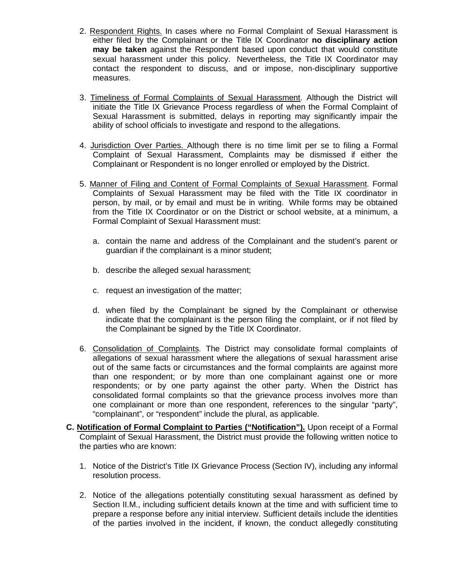- 2. Respondent Rights. In cases where no Formal Complaint of Sexual Harassment is either filed by the Complainant or the Title IX Coordinator **no disciplinary action may be taken** against the Respondent based upon conduct that would constitute sexual harassment under this policy. Nevertheless, the Title IX Coordinator may contact the respondent to discuss, and or impose, non-disciplinary supportive measures.
- 3. Timeliness of Formal Complaints of Sexual Harassment. Although the District will initiate the Title IX Grievance Process regardless of when the Formal Complaint of Sexual Harassment is submitted, delays in reporting may significantly impair the ability of school officials to investigate and respond to the allegations.
- 4. Jurisdiction Over Parties. Although there is no time limit per se to filing a Formal Complaint of Sexual Harassment, Complaints may be dismissed if either the Complainant or Respondent is no longer enrolled or employed by the District.
- 5. Manner of Filing and Content of Formal Complaints of Sexual Harassment. Formal Complaints of Sexual Harassment may be filed with the Title IX coordinator in person, by mail, or by email and must be in writing. While forms may be obtained from the Title IX Coordinator or on the District or school website, at a minimum, a Formal Complaint of Sexual Harassment must:
	- a. contain the name and address of the Complainant and the student's parent or guardian if the complainant is a minor student;
	- b. describe the alleged sexual harassment;
	- c. request an investigation of the matter;
	- d. when filed by the Complainant be signed by the Complainant or otherwise indicate that the complainant is the person filing the complaint, or if not filed by the Complainant be signed by the Title IX Coordinator.
- 6. Consolidation of Complaints. The District may consolidate formal complaints of allegations of sexual harassment where the allegations of sexual harassment arise out of the same facts or circumstances and the formal complaints are against more than one respondent; or by more than one complainant against one or more respondents; or by one party against the other party. When the District has consolidated formal complaints so that the grievance process involves more than one complainant or more than one respondent, references to the singular "party", "complainant", or "respondent" include the plural, as applicable.
- **C. Notification of Formal Complaint to Parties ("Notification").** Upon receipt of a Formal Complaint of Sexual Harassment, the District must provide the following written notice to the parties who are known:
	- 1. Notice of the District's Title IX Grievance Process (Section IV), including any informal resolution process.
	- 2. Notice of the allegations potentially constituting sexual harassment as defined by Section II.M., including sufficient details known at the time and with sufficient time to prepare a response before any initial interview. Sufficient details include the identities of the parties involved in the incident, if known, the conduct allegedly constituting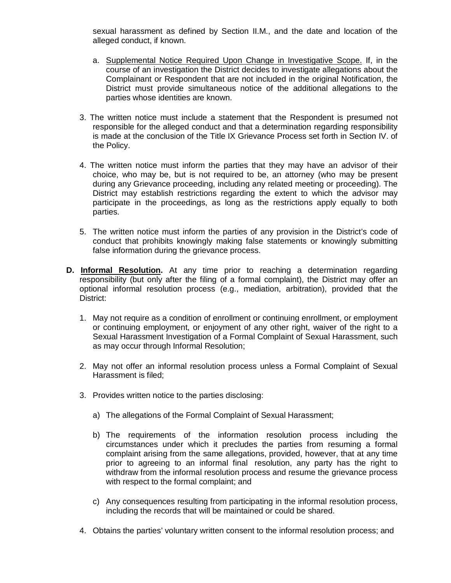sexual harassment as defined by Section II.M., and the date and location of the alleged conduct, if known.

- a. Supplemental Notice Required Upon Change in Investigative Scope. If, in the course of an investigation the District decides to investigate allegations about the Complainant or Respondent that are not included in the original Notification, the District must provide simultaneous notice of the additional allegations to the parties whose identities are known.
- 3. The written notice must include a statement that the Respondent is presumed not responsible for the alleged conduct and that a determination regarding responsibility is made at the conclusion of the Title IX Grievance Process set forth in Section IV. of the Policy.
- 4. The written notice must inform the parties that they may have an advisor of their choice, who may be, but is not required to be, an attorney (who may be present during any Grievance proceeding, including any related meeting or proceeding). The District may establish restrictions regarding the extent to which the advisor may participate in the proceedings, as long as the restrictions apply equally to both parties.
- 5. The written notice must inform the parties of any provision in the District's code of conduct that prohibits knowingly making false statements or knowingly submitting false information during the grievance process.
- **D. Informal Resolution.** At any time prior to reaching a determination regarding responsibility (but only after the filing of a formal complaint), the District may offer an optional informal resolution process (e.g., mediation, arbitration), provided that the District:
	- 1. May not require as a condition of enrollment or continuing enrollment, or employment or continuing employment, or enjoyment of any other right, waiver of the right to a Sexual Harassment Investigation of a Formal Complaint of Sexual Harassment, such as may occur through Informal Resolution;
	- 2. May not offer an informal resolution process unless a Formal Complaint of Sexual Harassment is filed;
	- 3. Provides written notice to the parties disclosing:
		- a) The allegations of the Formal Complaint of Sexual Harassment;
		- b) The requirements of the information resolution process including the circumstances under which it precludes the parties from resuming a formal complaint arising from the same allegations, provided, however, that at any time prior to agreeing to an informal final resolution, any party has the right to withdraw from the informal resolution process and resume the grievance process with respect to the formal complaint; and
		- c) Any consequences resulting from participating in the informal resolution process, including the records that will be maintained or could be shared.
	- 4. Obtains the parties' voluntary written consent to the informal resolution process; and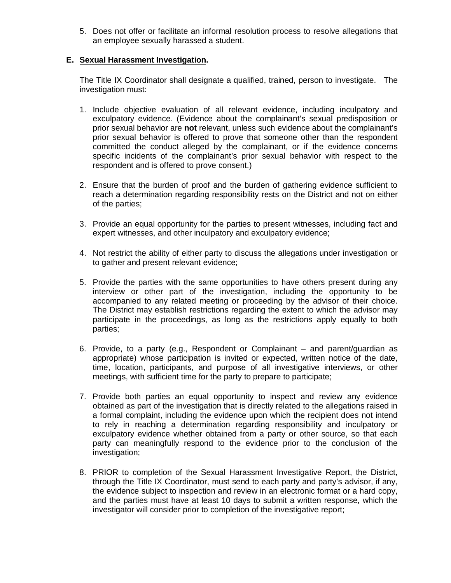5. Does not offer or facilitate an informal resolution process to resolve allegations that an employee sexually harassed a student.

## **E. Sexual Harassment Investigation.**

The Title IX Coordinator shall designate a qualified, trained, person to investigate. The investigation must:

- 1. Include objective evaluation of all relevant evidence, including inculpatory and exculpatory evidence. (Evidence about the complainant's sexual predisposition or prior sexual behavior are **not** relevant, unless such evidence about the complainant's prior sexual behavior is offered to prove that someone other than the respondent committed the conduct alleged by the complainant, or if the evidence concerns specific incidents of the complainant's prior sexual behavior with respect to the respondent and is offered to prove consent.)
- 2. Ensure that the burden of proof and the burden of gathering evidence sufficient to reach a determination regarding responsibility rests on the District and not on either of the parties;
- 3. Provide an equal opportunity for the parties to present witnesses, including fact and expert witnesses, and other inculpatory and exculpatory evidence;
- 4. Not restrict the ability of either party to discuss the allegations under investigation or to gather and present relevant evidence;
- 5. Provide the parties with the same opportunities to have others present during any interview or other part of the investigation, including the opportunity to be accompanied to any related meeting or proceeding by the advisor of their choice. The District may establish restrictions regarding the extent to which the advisor may participate in the proceedings, as long as the restrictions apply equally to both parties;
- 6. Provide, to a party (e.g., Respondent or Complainant and parent/guardian as appropriate) whose participation is invited or expected, written notice of the date, time, location, participants, and purpose of all investigative interviews, or other meetings, with sufficient time for the party to prepare to participate;
- 7. Provide both parties an equal opportunity to inspect and review any evidence obtained as part of the investigation that is directly related to the allegations raised in a formal complaint, including the evidence upon which the recipient does not intend to rely in reaching a determination regarding responsibility and inculpatory or exculpatory evidence whether obtained from a party or other source, so that each party can meaningfully respond to the evidence prior to the conclusion of the investigation;
- 8. PRIOR to completion of the Sexual Harassment Investigative Report, the District, through the Title IX Coordinator, must send to each party and party's advisor, if any, the evidence subject to inspection and review in an electronic format or a hard copy, and the parties must have at least 10 days to submit a written response, which the investigator will consider prior to completion of the investigative report;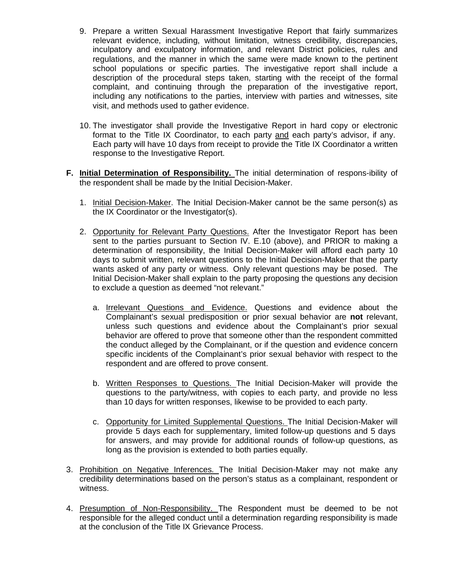- 9. Prepare a written Sexual Harassment Investigative Report that fairly summarizes relevant evidence, including, without limitation, witness credibility, discrepancies, inculpatory and exculpatory information, and relevant District policies, rules and regulations, and the manner in which the same were made known to the pertinent school populations or specific parties. The investigative report shall include a description of the procedural steps taken, starting with the receipt of the formal complaint, and continuing through the preparation of the investigative report, including any notifications to the parties, interview with parties and witnesses, site visit, and methods used to gather evidence.
- 10. The investigator shall provide the Investigative Report in hard copy or electronic format to the Title IX Coordinator, to each party and each party's advisor, if any. Each party will have 10 days from receipt to provide the Title IX Coordinator a written response to the Investigative Report.
- **F. Initial Determination of Responsibility.** The initial determination of respons-ibility of the respondent shall be made by the Initial Decision-Maker.
	- 1. Initial Decision-Maker. The Initial Decision-Maker cannot be the same person(s) as the IX Coordinator or the Investigator(s).
	- 2. Opportunity for Relevant Party Questions. After the Investigator Report has been sent to the parties pursuant to Section IV. E.10 (above), and PRIOR to making a determination of responsibility, the Initial Decision-Maker will afford each party 10 days to submit written, relevant questions to the Initial Decision-Maker that the party wants asked of any party or witness. Only relevant questions may be posed. The Initial Decision-Maker shall explain to the party proposing the questions any decision to exclude a question as deemed "not relevant."
		- a. Irrelevant Questions and Evidence. Questions and evidence about the Complainant's sexual predisposition or prior sexual behavior are **not** relevant, unless such questions and evidence about the Complainant's prior sexual behavior are offered to prove that someone other than the respondent committed the conduct alleged by the Complainant, or if the question and evidence concern specific incidents of the Complainant's prior sexual behavior with respect to the respondent and are offered to prove consent.
		- b. Written Responses to Questions. The Initial Decision-Maker will provide the questions to the party/witness, with copies to each party, and provide no less than 10 days for written responses, likewise to be provided to each party.
		- c. Opportunity for Limited Supplemental Questions. The Initial Decision-Maker will provide 5 days each for supplementary, limited follow-up questions and 5 days for answers, and may provide for additional rounds of follow-up questions, as long as the provision is extended to both parties equally.
- 3. Prohibition on Negative Inferences. The Initial Decision-Maker may not make any credibility determinations based on the person's status as a complainant, respondent or witness.
- 4. Presumption of Non-Responsibility. The Respondent must be deemed to be not responsible for the alleged conduct until a determination regarding responsibility is made at the conclusion of the Title IX Grievance Process.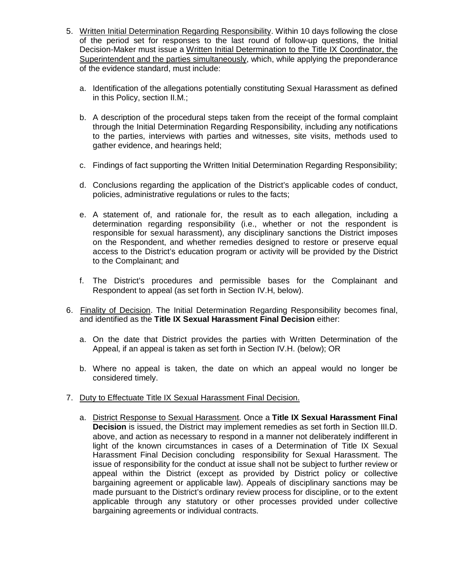- 5. Written Initial Determination Regarding Responsibility. Within 10 days following the close of the period set for responses to the last round of follow-up questions, the Initial Decision-Maker must issue a Written Initial Determination to the Title IX Coordinator, the Superintendent and the parties simultaneously, which, while applying the preponderance of the evidence standard, must include:
	- a. Identification of the allegations potentially constituting Sexual Harassment as defined in this Policy, section II.M.;
	- b. A description of the procedural steps taken from the receipt of the formal complaint through the Initial Determination Regarding Responsibility, including any notifications to the parties, interviews with parties and witnesses, site visits, methods used to gather evidence, and hearings held;
	- c. Findings of fact supporting the Written Initial Determination Regarding Responsibility;
	- d. Conclusions regarding the application of the District's applicable codes of conduct, policies, administrative regulations or rules to the facts;
	- e. A statement of, and rationale for, the result as to each allegation, including a determination regarding responsibility (i.e., whether or not the respondent is responsible for sexual harassment), any disciplinary sanctions the District imposes on the Respondent, and whether remedies designed to restore or preserve equal access to the District's education program or activity will be provided by the District to the Complainant; and
	- f. The District's procedures and permissible bases for the Complainant and Respondent to appeal (as set forth in Section IV.H, below).
- 6. Finality of Decision. The Initial Determination Regarding Responsibility becomes final, and identified as the **Title IX Sexual Harassment Final Decision** either:
	- a. On the date that District provides the parties with Written Determination of the Appeal, if an appeal is taken as set forth in Section IV.H. (below); OR
	- b. Where no appeal is taken, the date on which an appeal would no longer be considered timely.
- 7. Duty to Effectuate Title IX Sexual Harassment Final Decision.
	- a. District Response to Sexual Harassment. Once a **Title IX Sexual Harassment Final Decision** is issued, the District may implement remedies as set forth in Section III.D. above, and action as necessary to respond in a manner not deliberately indifferent in light of the known circumstances in cases of a Determination of Title IX Sexual Harassment Final Decision concluding responsibility for Sexual Harassment. The issue of responsibility for the conduct at issue shall not be subject to further review or appeal within the District (except as provided by District policy or collective bargaining agreement or applicable law). Appeals of disciplinary sanctions may be made pursuant to the District's ordinary review process for discipline, or to the extent applicable through any statutory or other processes provided under collective bargaining agreements or individual contracts.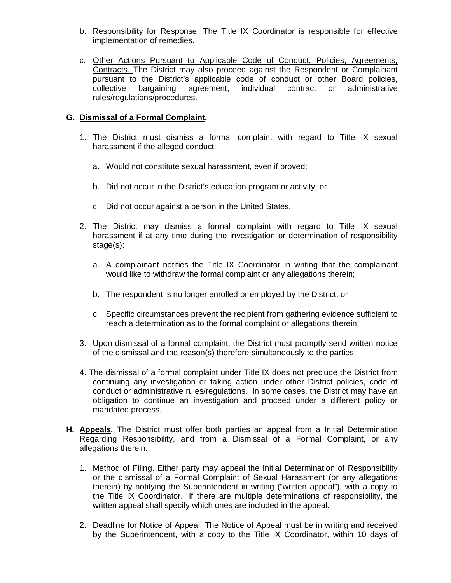- b. Responsibility for Response. The Title IX Coordinator is responsible for effective implementation of remedies.
- c. Other Actions Pursuant to Applicable Code of Conduct, Policies, Agreements, Contracts. The District may also proceed against the Respondent or Complainant pursuant to the District's applicable code of conduct or other Board policies, collective bargaining agreement, individual contract or administrative rules/regulations/procedures.

## **G. Dismissal of a Formal Complaint.**

- 1. The District must dismiss a formal complaint with regard to Title IX sexual harassment if the alleged conduct:
	- a. Would not constitute sexual harassment, even if proved;
	- b. Did not occur in the District's education program or activity; or
	- c. Did not occur against a person in the United States.
- 2. The District may dismiss a formal complaint with regard to Title IX sexual harassment if at any time during the investigation or determination of responsibility stage(s):
	- a. A complainant notifies the Title IX Coordinator in writing that the complainant would like to withdraw the formal complaint or any allegations therein;
	- b. The respondent is no longer enrolled or employed by the District; or
	- c. Specific circumstances prevent the recipient from gathering evidence sufficient to reach a determination as to the formal complaint or allegations therein.
- 3. Upon dismissal of a formal complaint, the District must promptly send written notice of the dismissal and the reason(s) therefore simultaneously to the parties.
- 4. The dismissal of a formal complaint under Title IX does not preclude the District from continuing any investigation or taking action under other District policies, code of conduct or administrative rules/regulations. In some cases, the District may have an obligation to continue an investigation and proceed under a different policy or mandated process.
- **H. Appeals.** The District must offer both parties an appeal from a Initial Determination Regarding Responsibility, and from a Dismissal of a Formal Complaint, or any allegations therein.
	- 1. Method of Filing. Either party may appeal the Initial Determination of Responsibility or the dismissal of a Formal Complaint of Sexual Harassment (or any allegations therein) by notifying the Superintendent in writing ("written appeal"), with a copy to the Title IX Coordinator. If there are multiple determinations of responsibility, the written appeal shall specify which ones are included in the appeal.
	- 2. Deadline for Notice of Appeal. The Notice of Appeal must be in writing and received by the Superintendent, with a copy to the Title IX Coordinator, within 10 days of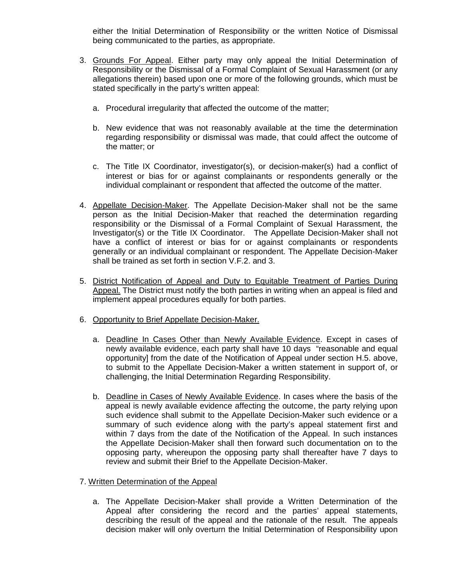either the Initial Determination of Responsibility or the written Notice of Dismissal being communicated to the parties, as appropriate.

- 3. Grounds For Appeal. Either party may only appeal the Initial Determination of Responsibility or the Dismissal of a Formal Complaint of Sexual Harassment (or any allegations therein) based upon one or more of the following grounds, which must be stated specifically in the party's written appeal:
	- a. Procedural irregularity that affected the outcome of the matter;
	- b. New evidence that was not reasonably available at the time the determination regarding responsibility or dismissal was made, that could affect the outcome of the matter; or
	- c. The Title IX Coordinator, investigator(s), or decision-maker(s) had a conflict of interest or bias for or against complainants or respondents generally or the individual complainant or respondent that affected the outcome of the matter.
- 4. Appellate Decision-Maker. The Appellate Decision-Maker shall not be the same person as the Initial Decision-Maker that reached the determination regarding responsibility or the Dismissal of a Formal Complaint of Sexual Harassment, the Investigator(s) or the Title IX Coordinator. The Appellate Decision-Maker shall not have a conflict of interest or bias for or against complainants or respondents generally or an individual complainant or respondent. The Appellate Decision-Maker shall be trained as set forth in section V.F.2. and 3.
- 5. District Notification of Appeal and Duty to Equitable Treatment of Parties During Appeal. The District must notify the both parties in writing when an appeal is filed and implement appeal procedures equally for both parties.
- 6. Opportunity to Brief Appellate Decision-Maker.
	- a. Deadline In Cases Other than Newly Available Evidence. Except in cases of newly available evidence, each party shall have 10 days "reasonable and equal opportunity] from the date of the Notification of Appeal under section H.5. above, to submit to the Appellate Decision-Maker a written statement in support of, or challenging, the Initial Determination Regarding Responsibility.
	- b. Deadline in Cases of Newly Available Evidence. In cases where the basis of the appeal is newly available evidence affecting the outcome, the party relying upon such evidence shall submit to the Appellate Decision-Maker such evidence or a summary of such evidence along with the party's appeal statement first and within 7 days from the date of the Notification of the Appeal. In such instances the Appellate Decision-Maker shall then forward such documentation on to the opposing party, whereupon the opposing party shall thereafter have 7 days to review and submit their Brief to the Appellate Decision-Maker.
- 7. Written Determination of the Appeal
	- a. The Appellate Decision-Maker shall provide a Written Determination of the Appeal after considering the record and the parties' appeal statements, describing the result of the appeal and the rationale of the result. The appeals decision maker will only overturn the Initial Determination of Responsibility upon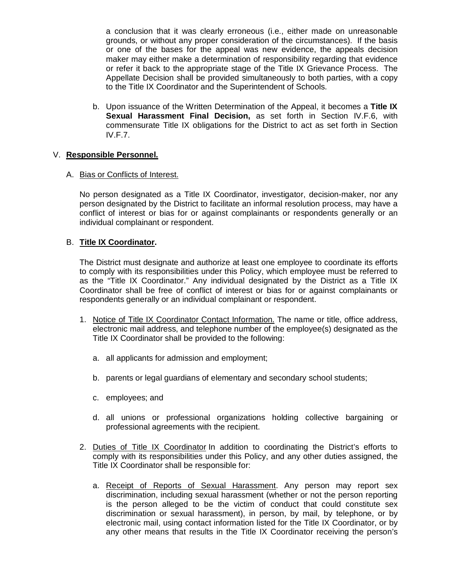a conclusion that it was clearly erroneous (i.e., either made on unreasonable grounds, or without any proper consideration of the circumstances). If the basis or one of the bases for the appeal was new evidence, the appeals decision maker may either make a determination of responsibility regarding that evidence or refer it back to the appropriate stage of the Title IX Grievance Process. The Appellate Decision shall be provided simultaneously to both parties, with a copy to the Title IX Coordinator and the Superintendent of Schools.

b. Upon issuance of the Written Determination of the Appeal, it becomes a **Title IX Sexual Harassment Final Decision,** as set forth in Section IV.F.6, with commensurate Title IX obligations for the District to act as set forth in Section IV.F.7.

#### V. **Responsible Personnel.**

#### A. Bias or Conflicts of Interest.

No person designated as a Title IX Coordinator, investigator, decision-maker, nor any person designated by the District to facilitate an informal resolution process, may have a conflict of interest or bias for or against complainants or respondents generally or an individual complainant or respondent.

#### B. **Title IX Coordinator.**

The District must designate and authorize at least one employee to coordinate its efforts to comply with its responsibilities under this Policy, which employee must be referred to as the "Title IX Coordinator." Any individual designated by the District as a Title IX Coordinator shall be free of conflict of interest or bias for or against complainants or respondents generally or an individual complainant or respondent.

- 1. Notice of Title IX Coordinator Contact Information. The name or title, office address, electronic mail address, and telephone number of the employee(s) designated as the Title IX Coordinator shall be provided to the following:
	- a. all applicants for admission and employment;
	- b. parents or legal guardians of elementary and secondary school students;
	- c. employees; and
	- d. all unions or professional organizations holding collective bargaining or professional agreements with the recipient.
- 2. Duties of Title IX Coordinator In addition to coordinating the District's efforts to comply with its responsibilities under this Policy, and any other duties assigned, the Title IX Coordinator shall be responsible for:
	- a. Receipt of Reports of Sexual Harassment. Any person may report sex discrimination, including sexual harassment (whether or not the person reporting is the person alleged to be the victim of conduct that could constitute sex discrimination or sexual harassment), in person, by mail, by telephone, or by electronic mail, using contact information listed for the Title IX Coordinator, or by any other means that results in the Title IX Coordinator receiving the person's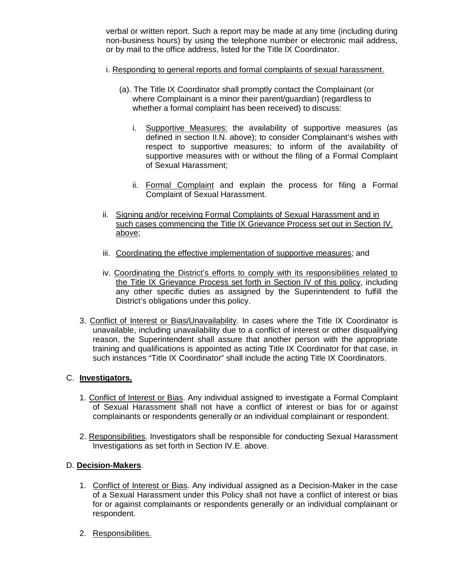verbal or written report. Such a report may be made at any time (including during non-business hours) by using the telephone number or electronic mail address, or by mail to the office address, listed for the Title IX Coordinator.

- i. Responding to general reports and formal complaints of sexual harassment.
	- (a). The Title IX Coordinator shall promptly contact the Complainant (or where Complainant is a minor their parent/guardian) (regardless to whether a formal complaint has been received) to discuss:
		- i. Supportive Measures: the availability of supportive measures (as defined in section II.N. above); to consider Complainant's wishes with respect to supportive measures; to inform of the availability of supportive measures with or without the filing of a Formal Complaint of Sexual Harassment;
		- ii. Formal Complaint and explain the process for filing a Formal Complaint of Sexual Harassment.
- ii. Signing and/or receiving Formal Complaints of Sexual Harassment and in such cases commencing the Title IX Grievance Process set out in Section IV. above;
- iii. Coordinating the effective implementation of supportive measures; and
- iv. Coordinating the District's efforts to comply with its responsibilities related to the Title IX Grievance Process set forth in Section IV of this policy, including any other specific duties as assigned by the Superintendent to fulfill the District's obligations under this policy.
- 3. Conflict of Interest or Bias/Unavailability. In cases where the Title IX Coordinator is unavailable, including unavailability due to a conflict of interest or other disqualifying reason, the Superintendent shall assure that another person with the appropriate training and qualifications is appointed as acting Title IX Coordinator for that case, in such instances "Title IX Coordinator" shall include the acting Title IX Coordinators.

#### C. **Investigators.**

- 1. Conflict of Interest or Bias. Any individual assigned to investigate a Formal Complaint of Sexual Harassment shall not have a conflict of interest or bias for or against complainants or respondents generally or an individual complainant or respondent.
- 2. Responsibilities. Investigators shall be responsible for conducting Sexual Harassment Investigations as set forth in Section IV.E. above.

# D. **Decision-Makers**.

- 1. Conflict of Interest or Bias. Any individual assigned as a Decision-Maker in the case of a Sexual Harassment under this Policy shall not have a conflict of interest or bias for or against complainants or respondents generally or an individual complainant or respondent.
- 2. Responsibilities.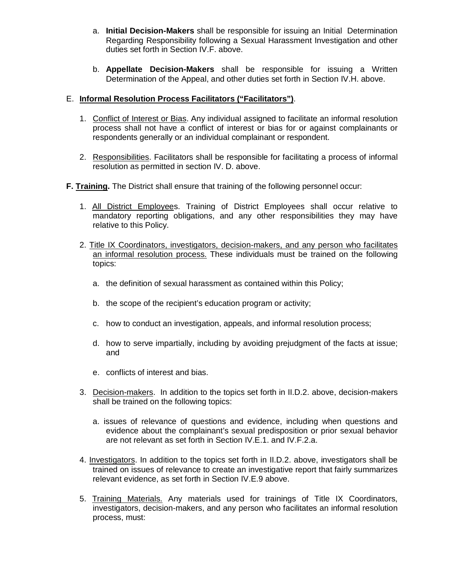- a. **Initial Decision-Makers** shall be responsible for issuing an Initial Determination Regarding Responsibility following a Sexual Harassment Investigation and other duties set forth in Section IV.F. above.
- b. **Appellate Decision-Makers** shall be responsible for issuing a Written Determination of the Appeal, and other duties set forth in Section IV.H. above.

## E. **Informal Resolution Process Facilitators ("Facilitators")**.

- 1. Conflict of Interest or Bias. Any individual assigned to facilitate an informal resolution process shall not have a conflict of interest or bias for or against complainants or respondents generally or an individual complainant or respondent.
- 2. Responsibilities. Facilitators shall be responsible for facilitating a process of informal resolution as permitted in section IV. D. above.
- **F. Training.** The District shall ensure that training of the following personnel occur:
	- 1. All District Employees. Training of District Employees shall occur relative to mandatory reporting obligations, and any other responsibilities they may have relative to this Policy.
	- 2. Title IX Coordinators, investigators, decision-makers, and any person who facilitates an informal resolution process. These individuals must be trained on the following topics:
		- a. the definition of sexual harassment as contained within this Policy;
		- b. the scope of the recipient's education program or activity;
		- c. how to conduct an investigation, appeals, and informal resolution process;
		- d. how to serve impartially, including by avoiding prejudgment of the facts at issue; and
		- e. conflicts of interest and bias.
	- 3. Decision-makers. In addition to the topics set forth in II.D.2. above, decision-makers shall be trained on the following topics:
		- a. issues of relevance of questions and evidence, including when questions and evidence about the complainant's sexual predisposition or prior sexual behavior are not relevant as set forth in Section IV.E.1. and IV.F.2.a.
	- 4. Investigators. In addition to the topics set forth in II.D.2. above, investigators shall be trained on issues of relevance to create an investigative report that fairly summarizes relevant evidence, as set forth in Section IV.E.9 above.
	- 5. Training Materials. Any materials used for trainings of Title IX Coordinators, investigators, decision-makers, and any person who facilitates an informal resolution process, must: